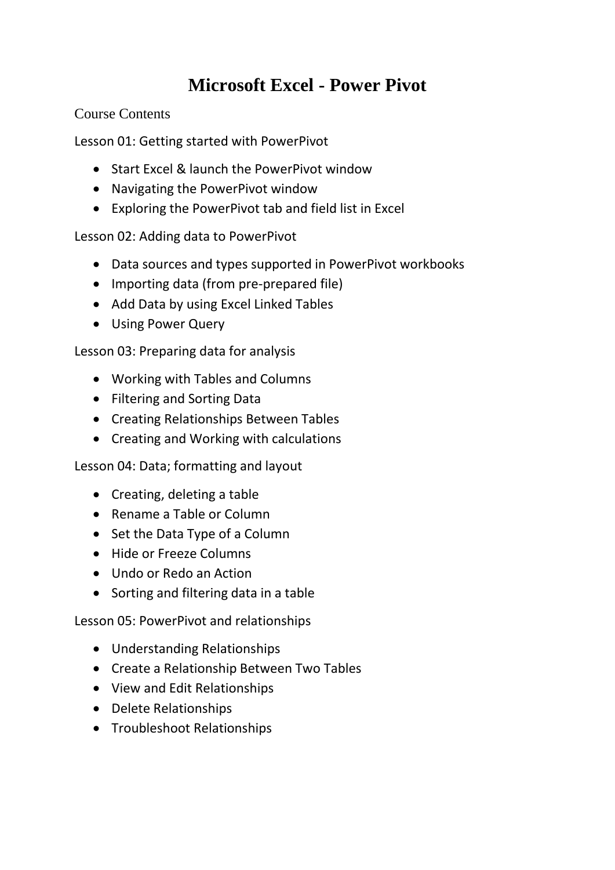## **Microsoft Excel - Power Pivot**

Course Contents

Lesson 01: Getting started with PowerPivot

- Start Excel & launch the PowerPivot window
- Navigating the PowerPivot window
- Exploring the PowerPivot tab and field list in Excel

Lesson 02: Adding data to PowerPivot

- Data sources and types supported in PowerPivot workbooks
- Importing data (from pre-prepared file)
- Add Data by using Excel Linked Tables
- Using Power Query

Lesson 03: Preparing data for analysis

- Working with Tables and Columns
- Filtering and Sorting Data
- Creating Relationships Between Tables
- Creating and Working with calculations

Lesson 04: Data; formatting and layout

- Creating, deleting a table
- Rename a Table or Column
- Set the Data Type of a Column
- Hide or Freeze Columns
- Undo or Redo an Action
- Sorting and filtering data in a table

Lesson 05: PowerPivot and relationships

- Understanding Relationships
- Create a Relationship Between Two Tables
- View and Edit Relationships
- Delete Relationships
- Troubleshoot Relationships